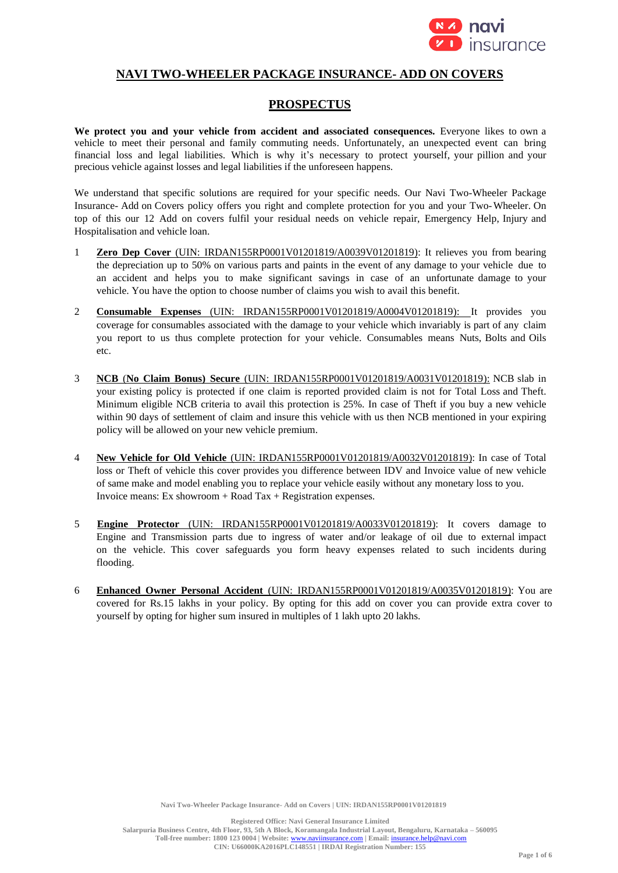

# **NAVI TWO-WHEELER PACKAGE INSURANCE- ADD ON COVERS**

# **PROSPECTUS**

**We protect you and your vehicle from accident and associated consequences.** Everyone likes to own a vehicle to meet their personal and family commuting needs. Unfortunately, an unexpected event can bring financial loss and legal liabilities. Which is why it's necessary to protect yourself, your pillion and your precious vehicle against losses and legal liabilities if the unforeseen happens.

We understand that specific solutions are required for your specific needs. Our Navi Two-Wheeler Package Insurance- Add on Covers policy offers you right and complete protection for you and your Two-Wheeler. On top of this our 12 Add on covers fulfil your residual needs on vehicle repair, Emergency Help, Injury and Hospitalisation and vehicle loan.

- 1 **Zero Dep Cover** (UIN: IRDAN155RP0001V01201819/A0039V01201819): It relieves you from bearing the depreciation up to 50% on various parts and paints in the event of any damage to your vehicle due to an accident and helps you to make significant savings in case of an unfortunate damage to your vehicle. You have the option to choose number of claims you wish to avail this benefit.
- 2 **Consumable Expenses** (UIN: IRDAN155RP0001V01201819/A0004V01201819): It provides you coverage for consumables associated with the damage to your vehicle which invariably is part of any claim you report to us thus complete protection for your vehicle. Consumables means Nuts, Bolts and Oils etc.
- 3 **NCB** (**No Claim Bonus) Secure** (UIN: IRDAN155RP0001V01201819/A0031V01201819): NCB slab in your existing policy is protected if one claim is reported provided claim is not for Total Loss and Theft. Minimum eligible NCB criteria to avail this protection is 25%. In case of Theft if you buy a new vehicle within 90 days of settlement of claim and insure this vehicle with us then NCB mentioned in your expiring policy will be allowed on your new vehicle premium.
- 4 **New Vehicle for Old Vehicle** (UIN: IRDAN155RP0001V01201819/A0032V01201819): In case of Total loss or Theft of vehicle this cover provides you difference between IDV and Invoice value of new vehicle of same make and model enabling you to replace your vehicle easily without any monetary loss to you. Invoice means: Ex showroom  $+$  Road Tax  $+$  Registration expenses.
- 5 **Engine Protector** (UIN: IRDAN155RP0001V01201819/A0033V01201819): It covers damage to Engine and Transmission parts due to ingress of water and/or leakage of oil due to external impact on the vehicle. This cover safeguards you form heavy expenses related to such incidents during flooding.
- 6 **Enhanced Owner Personal Accident** (UIN: IRDAN155RP0001V01201819/A0035V01201819): You are covered for Rs.15 lakhs in your policy. By opting for this add on cover you can provide extra cover to yourself by opting for higher sum insured in multiples of 1 lakh upto 20 lakhs.

**Registered Office: Navi General Insurance Limited**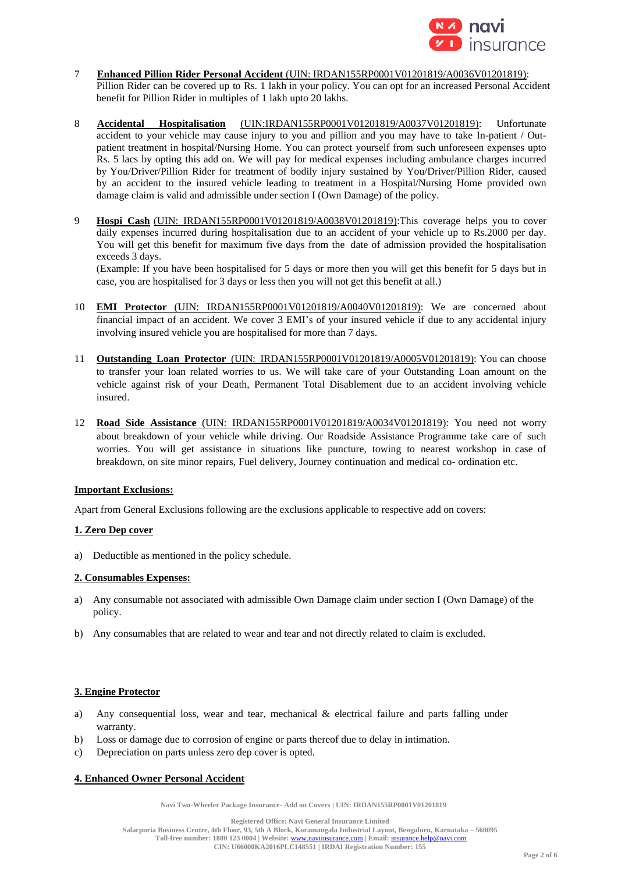

- 7 **Enhanced Pillion Rider Personal Accident** (UIN: IRDAN155RP0001V01201819/A0036V01201819): Pillion Rider can be covered up to Rs. 1 lakh in your policy. You can opt for an increased Personal Accident benefit for Pillion Rider in multiples of 1 lakh upto 20 lakhs.
- 8 **Accidental Hospitalisation** (UIN:IRDAN155RP0001V01201819/A0037V01201819): Unfortunate accident to your vehicle may cause injury to you and pillion and you may have to take In-patient / Outpatient treatment in hospital/Nursing Home. You can protect yourself from such unforeseen expenses upto Rs. 5 lacs by opting this add on. We will pay for medical expenses including ambulance charges incurred by You/Driver/Pillion Rider for treatment of bodily injury sustained by You/Driver/Pillion Rider, caused by an accident to the insured vehicle leading to treatment in a Hospital/Nursing Home provided own damage claim is valid and admissible under section I (Own Damage) of the policy.
- 9 **Hospi Cash** (UIN: IRDAN155RP0001V01201819/A0038V01201819):This coverage helps you to cover daily expenses incurred during hospitalisation due to an accident of your vehicle up to Rs.2000 per day. You will get this benefit for maximum five days from the date of admission provided the hospitalisation exceeds 3 days.

(Example: If you have been hospitalised for 5 days or more then you will get this benefit for 5 days but in case, you are hospitalised for 3 days or less then you will not get this benefit at all.)

- 10 **EMI Protector** (UIN: IRDAN155RP0001V01201819/A0040V01201819): We are concerned about financial impact of an accident. We cover 3 EMI's of your insured vehicle if due to any accidental injury involving insured vehicle you are hospitalised for more than 7 days.
- 11 **Outstanding Loan Protector** (UIN: IRDAN155RP0001V01201819/A0005V01201819): You can choose to transfer your loan related worries to us. We will take care of your Outstanding Loan amount on the vehicle against risk of your Death, Permanent Total Disablement due to an accident involving vehicle insured.
- 12 **Road Side Assistance** (UIN: IRDAN155RP0001V01201819/A0034V01201819): You need not worry about breakdown of your vehicle while driving. Our Roadside Assistance Programme take care of such worries. You will get assistance in situations like puncture, towing to nearest workshop in case of breakdown, on site minor repairs, Fuel delivery, Journey continuation and medical co- ordination etc.

# **Important Exclusions:**

Apart from General Exclusions following are the exclusions applicable to respective add on covers:

# **1. Zero Dep cover**

a) Deductible as mentioned in the policy schedule.

# **2. Consumables Expenses:**

- a) Any consumable not associated with admissible Own Damage claim under section I (Own Damage) of the policy.
- b) Any consumables that are related to wear and tear and not directly related to claim is excluded.

## **3. Engine Protector**

- a) Any consequential loss, wear and tear, mechanical & electrical failure and parts falling under warranty.
- b) Loss or damage due to corrosion of engine or parts thereof due to delay in intimation.
- c) Depreciation on parts unless zero dep cover is opted.

## **4. Enhanced Owner Personal Accident**

**Navi Two-Wheeler Package Insurance- Add on Covers | UIN: IRDAN155RP0001V01201819**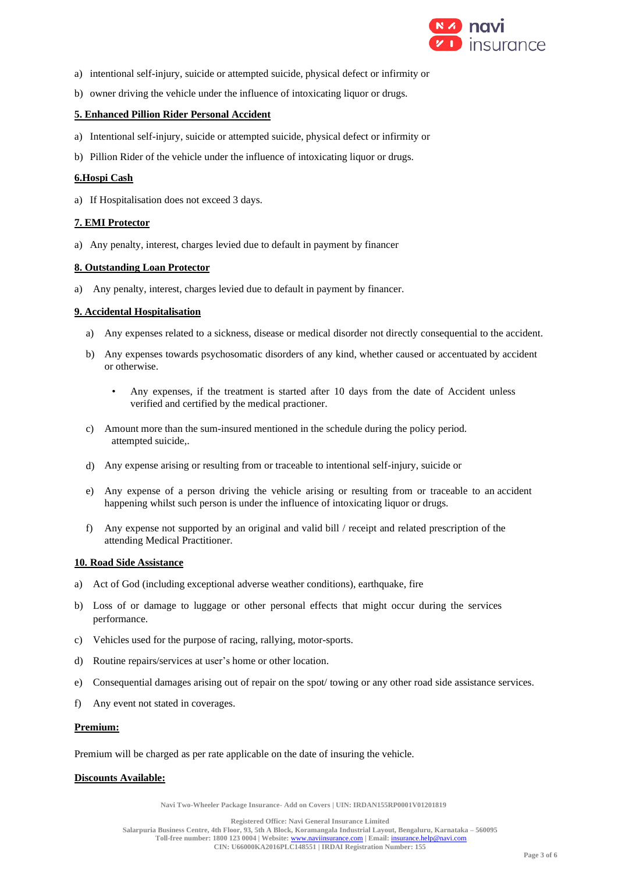

- a) intentional self-injury, suicide or attempted suicide, physical defect or infirmity or
- b) owner driving the vehicle under the influence of intoxicating liquor or drugs.

## **5. Enhanced Pillion Rider Personal Accident**

- a) Intentional self-injury, suicide or attempted suicide, physical defect or infirmity or
- b) Pillion Rider of the vehicle under the influence of intoxicating liquor or drugs.

### **6.Hospi Cash**

a) If Hospitalisation does not exceed 3 days.

## **7. EMI Protector**

a) Any penalty, interest, charges levied due to default in payment by financer

#### **8. Outstanding Loan Protector**

a) Any penalty, interest, charges levied due to default in payment by financer.

#### **9. Accidental Hospitalisation**

- a) Any expenses related to a sickness, disease or medical disorder not directly consequential to the accident.
- b) Any expenses towards psychosomatic disorders of any kind, whether caused or accentuated by accident or otherwise.
	- Any expenses, if the treatment is started after 10 days from the date of Accident unless verified and certified by the medical practioner.
- c) Amount more than the sum-insured mentioned in the schedule during the policy period. attempted suicide,.
- d) Any expense arising or resulting from or traceable to intentional self-injury, suicide or
- e) Any expense of a person driving the vehicle arising or resulting from or traceable to an accident happening whilst such person is under the influence of intoxicating liquor or drugs.
- f) Any expense not supported by an original and valid bill / receipt and related prescription of the attending Medical Practitioner.

#### **10. Road Side Assistance**

- a) Act of God (including exceptional adverse weather conditions), earthquake, fire
- b) Loss of or damage to luggage or other personal effects that might occur during the services performance.
- c) Vehicles used for the purpose of racing, rallying, motor-sports.
- d) Routine repairs/services at user's home or other location.
- e) Consequential damages arising out of repair on the spot/ towing or any other road side assistance services.
- f) Any event not stated in coverages.

#### **Premium:**

Premium will be charged as per rate applicable on the date of insuring the vehicle.

#### **Discounts Available:**

**Navi Two-Wheeler Package Insurance- Add on Covers | UIN: IRDAN155RP0001V01201819**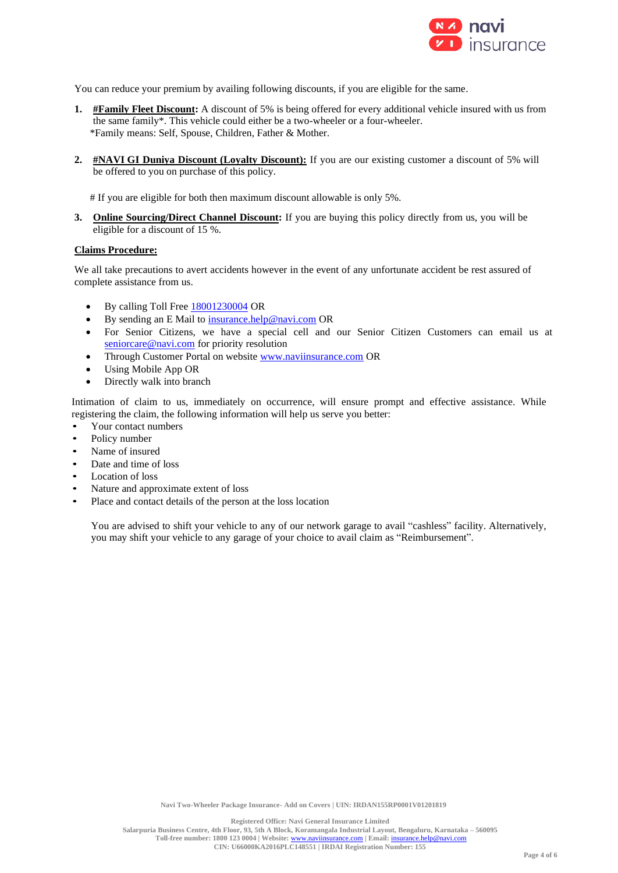

You can reduce your premium by availing following discounts, if you are eligible for the same.

- **1. #Family Fleet Discount:** A discount of 5% is being offered for every additional vehicle insured with us from the same family\*. This vehicle could either be a two-wheeler or a four-wheeler. \*Family means: Self, Spouse, Children, Father & Mother.
- **2. #NAVI GI Duniya Discount (Loyalty Discount):** If you are our existing customer a discount of 5% will be offered to you on purchase of this policy.

# If you are eligible for both then maximum discount allowable is only 5%.

**3. Online Sourcing/Direct Channel Discount:** If you are buying this policy directly from us, you will be eligible for a discount of 15 %.

#### **Claims Procedure:**

We all take precautions to avert accidents however in the event of any unfortunate accident be rest assured of complete assistance from us.

- By calling Toll Free 18001230004 OR
- By sending an E Mail to insurance.help@navi.com OR
- For Senior Citizens, we have a special cell and our Senior Citizen Customers can email us at seniorcare@navi.com for priority resolution
- Through Customer Portal on website www.naviinsurance.com OR
- Using Mobile App OR
- Directly walk into branch

Intimation of claim to us, immediately on occurrence, will ensure prompt and effective assistance. While registering the claim, the following information will help us serve you better:

- Your contact numbers
- Policy number
- Name of insured
- Date and time of loss
- Location of loss
- Nature and approximate extent of loss
- Place and contact details of the person at the loss location

You are advised to shift your vehicle to any of our network garage to avail "cashless" facility. Alternatively, you may shift your vehicle to any garage of your choice to avail claim as "Reimbursement".

**Registered Office: Navi General Insurance Limited**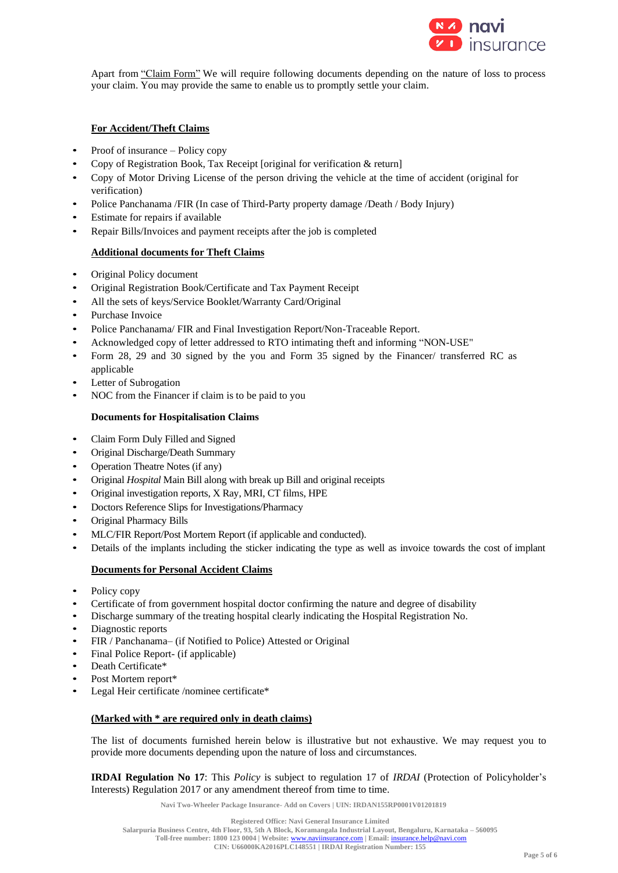

Apart from "Claim Form" We will require following documents depending on the nature of loss to process your claim. You may provide the same to enable us to promptly settle your claim.

## **For Accident/Theft Claims**

- Proof of insurance Policy copy
- Copy of Registration Book, Tax Receipt [original for verification & return]
- Copy of Motor Driving License of the person driving the vehicle at the time of accident (original for verification)
- Police Panchanama /FIR (In case of Third-Party property damage /Death / Body Injury)
- Estimate for repairs if available
- Repair Bills/Invoices and payment receipts after the job is completed

## **Additional documents for Theft Claims**

- Original Policy document
- Original Registration Book/Certificate and Tax Payment Receipt
- All the sets of keys/Service Booklet/Warranty Card/Original
- Purchase Invoice
- Police Panchanama/ FIR and Final Investigation Report/Non-Traceable Report.
- Acknowledged copy of letter addressed to RTO intimating theft and informing "NON-USE"
- Form 28, 29 and 30 signed by the you and Form 35 signed by the Financer/ transferred RC as applicable
- Letter of Subrogation
- NOC from the Financer if claim is to be paid to you

## **Documents for Hospitalisation Claims**

- Claim Form Duly Filled and Signed
- Original Discharge/Death Summary
- Operation Theatre Notes (if any)
- Original *Hospital* Main Bill along with break up Bill and original receipts
- Original investigation reports, X Ray, MRI, CT films, HPE
- Doctors Reference Slips for Investigations/Pharmacy
- Original Pharmacy Bills
- MLC/FIR Report/Post Mortem Report (if applicable and conducted).
- Details of the implants including the sticker indicating the type as well as invoice towards the cost of implant

## **Documents for Personal Accident Claims**

- Policy copy
- Certificate of from government hospital doctor confirming the nature and degree of disability
- Discharge summary of the treating hospital clearly indicating the Hospital Registration No.
- Diagnostic reports
- FIR / Panchanama– (if Notified to Police) Attested or Original
- Final Police Report- (if applicable)
- Death Certificate\*
- Post Mortem report\*
- Legal Heir certificate /nominee certificate\*

## **(Marked with \* are required only in death claims)**

The list of documents furnished herein below is illustrative but not exhaustive. We may request you to provide more documents depending upon the nature of loss and circumstances.

**IRDAI Regulation No 17**: This *Policy* is subject to regulation 17 of *IRDAI* (Protection of Policyholder's Interests) Regulation 2017 or any amendment thereof from time to time.

**Navi Two-Wheeler Package Insurance- Add on Covers | UIN: IRDAN155RP0001V01201819**

**Salarpuria Business Centre, 4th Floor, 93, 5th A Block, Koramangala Industrial Layout, Bengaluru, Karnataka – 560095**

**Toll-free number: 1800 123 0004 | Website:** [www.naviinsurance.com](http://www.naviinsurance.com/) **| Email:** [insurance.help@navi.com](mailto:insurance.help@navi.com)

**Registered Office: Navi General Insurance Limited**